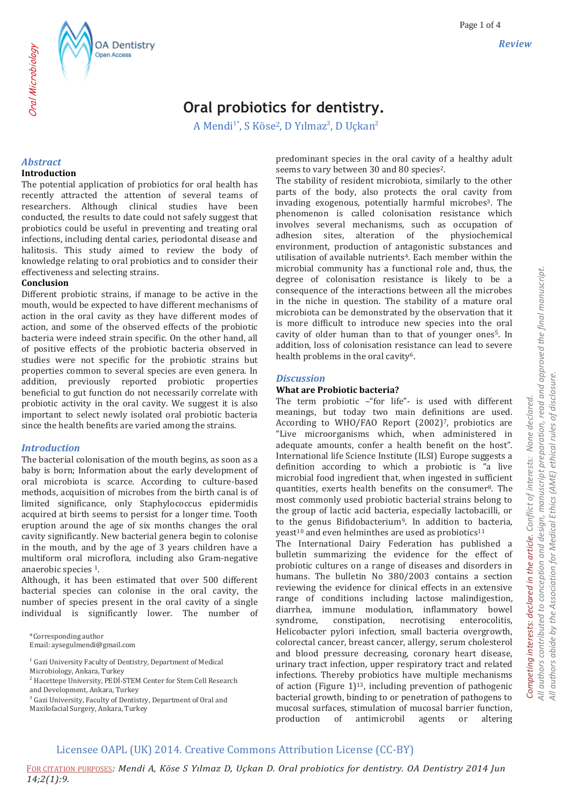# **Oral probiotics for dentistry.**

A Mendi<sup>1\*</sup>, S Köse<sup>2</sup>, D Yılmaz<sup>3</sup>, D Uçkan<sup>2</sup>

### *Abstract*

### **Introduction**

The potential application of probiotics for oral health has recently attracted the attention of several teams of researchers. Although clinical studies have been conducted, the results to date could not safely suggest that probiotics could be useful in preventing and treating oral infections, including dental caries, periodontal disease and halitosis. This study aimed to review the body of knowledge relating to oral probiotics and to consider their effectiveness and selecting strains.

### **Conclusion**

Different probiotic strains, if manage to be active in the mouth, would be expected to have different mechanisms of action in the oral cavity as they have different modes of action, and some of the observed effects of the probiotic bacteria were indeed strain specific. On the other hand, all of positive effects of the probiotic bacteria observed in studies were not specific for the probiotic strains but properties common to several species are even genera. In addition, previously reported probiotic properties beneficial to gut function do not necessarily correlate with probiotic activity in the oral cavity. We suggest it is also important to select newly isolated oral probiotic bacteria since the health benefits are varied among the strains.

### *Introduction*

The bacterial colonisation of the mouth begins, as soon as a baby is born; Information about the early development of oral microbiota is scarce. According to culture-based methods, acquisition of microbes from the birth canal is of limited significance, only Staphylococcus epidermidis acquired at birth seems to persist for a longer time. Tooth eruption around the age of six months changes the oral cavity significantly. New bacterial genera begin to colonise in the mouth, and by the age of 3 years children have a multiform oral microflora, including also Gram-negative anaerobic species 1.

Although, it has been estimated that over 500 different bacterial species can colonise in the oral cavity, the number of species present in the oral cavity of a single individual is significantly lower. The number of

\*Corresponding author Email: aysegulmendi@gmail.com

 $^{\rm 1}$  Gazi University Faculty of Dentistry, Department of Medical

<sup>2</sup> Hacettepe University, PEDİ-STEM Center for Stem Cell Research and Development, Ankara, Turkey

<sup>3</sup> Gazi University, Faculty of Dentistry, Department of Oral and Maxilofacial Surgery, Ankara, Turkey

predominant species in the oral cavity of a healthy adult seems to vary between 30 and 80 species2.

The stability of resident microbiota, similarly to the other parts of the body, also protects the oral cavity from invading exogenous, potentially harmful microbes3. The phenomenon is called colonisation resistance which involves several mechanisms, such as occupation of adhesion sites, alteration of the physiochemical environment, production of antagonistic substances and utilisation of available nutrients<sup>4</sup>. Each member within the microbial community has a functional role and, thus, the degree of colonisation resistance is likely to be a consequence of the interactions between all the microbes in the niche in question. The stability of a mature oral microbiota can be demonstrated by the observation that it is more difficult to introduce new species into the oral cavity of older human than to that of younger ones5. In addition, loss of colonisation resistance can lead to severe health problems in the oral cavity<sup>6</sup>.

### *Discussion*

### **What are Probiotic bacteria?**

The term probiotic –"for life"- is used with different meanings, but today two main definitions are used. According to WHO/FAO Report (2002)7, probiotics are "Live microorganisms which, when administered in adequate amounts, confer a health benefit on the host". International life Science Institute (ILSI) Europe suggests a definition according to which a probiotic is "a live microbial food ingredient that, when ingested in sufficient quantities, exerts health benefits on the consumer8. The most commonly used probiotic bacterial strains belong to the group of lactic acid bacteria, especially lactobacilli, or to the genus Bifidobacterium9. In addition to bacteria, yeast<sup>10</sup> and even helminthes are used as probiotics<sup>11</sup>

The International Dairy Federation has published a bulletin summarizing the evidence for the effect of probiotic cultures on a range of diseases and disorders in humans. The bulletin No 380/2003 contains a section reviewing the evidence for clinical effects in an extensive range of conditions including lactose malindigestion, diarrhea, immune modulation, inflammatory bowel syndrome, constipation, necrotising enterocolitis, Helicobacter pylori infection, small bacteria overgrowth, colorectal cancer, breast cancer, allergy, serum cholesterol and blood pressure decreasing, coronary heart disease, urinary tract infection, upper respiratory tract and related infections. Thereby probiotics have multiple mechanisms of action (Figure 1)13, including prevention of pathogenic bacterial growth, binding to or penetration of pathogens to mucosal surfaces, stimulation of mucosal barrier function, production of antimicrobil agents or altering

# *All authors contributed to conception and design, manuscript preparation, read and approved the final manuscript.*  All authors contributed to conception and design, manuscript preparation, read and approved the final manuscript. All authors abide by the Association for Medical Ethics (AME) ethical rules of disclosure. *All authors abide by the Association for Medical Ethics (AME) ethical rules of disclosure.*

*Competing interests: declared in the article. Conflict of interests: None declared.* 

Competing interests: declared in the article.

Conflict of interests: None declared.

## Licensee OAPL (UK) 2014. Creative Commons Attribution License (CC-BY)

FOR CITATION PURPOSES*: Mendi A, Köse S Yılmaz D, Uçkan D. Oral probiotics for dentistry. OA Dentistry 2014 Jun 14;2(1):9.*

Microbiology, Ankara, Turkey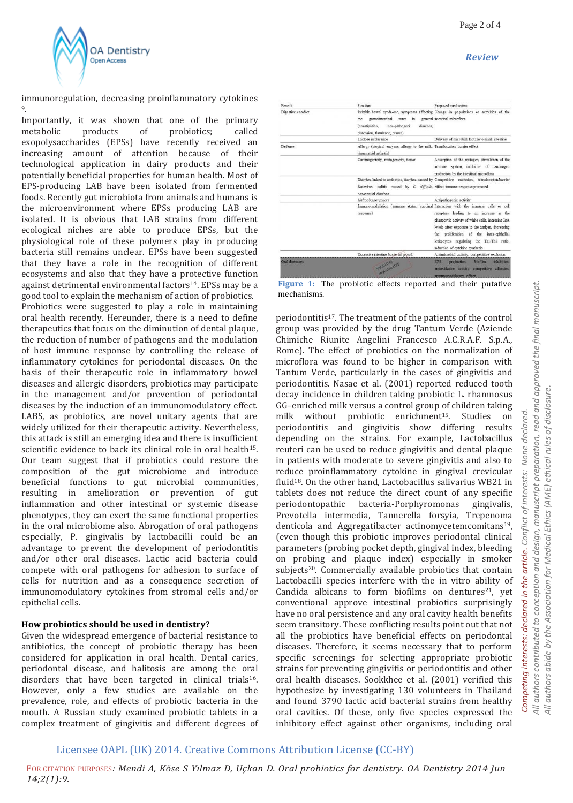

immunoregulation, decreasing proinflammatory cytokines 9.

Importantly, it was shown that one of the primary metabolic products of probiotics; called exopolysaccharides (EPSs) have recently received an increasing amount of attention because of their technological application in dairy products and their potentially beneficial properties for human health. Most of EPS-producing LAB have been isolated from fermented foods. Recently gut microbiota from animals and humans is the microenvironment where EPSs producing LAB are isolated. It is obvious that LAB strains from different ecological niches are able to produce EPSs, but the physiological role of these polymers play in producing bacteria still remains unclear. EPSs have been suggested that they have a role in the recognition of different ecosystems and also that they have a protective function against detrimental environmental factors<sup>14</sup>. EPSs may be a good tool to explain the mechanism of action of probiotics. Probiotics were suggested to play a role in maintaining oral health recently. Hereunder, there is a need to define therapeutics that focus on the diminution of dental plaque, the reduction of number of pathogens and the modulation of host immune response by controlling the release of inflammatory cytokines for periodontal diseases. On the basis of their therapeutic role in inflammatory bowel diseases and allergic disorders, probiotics may participate in the management and/or prevention of periodontal diseases by the induction of an immunomodulatory effect. LABS, as probiotics, are novel unitary agents that are widely utilized for their therapeutic activity. Nevertheless, this attack is still an emerging idea and there is insufficient scientific evidence to back its clinical role in oral health<sup>15</sup>. Our team suggest that if probiotics could restore the composition of the gut microbiome and introduce beneficial functions to gut microbial communities, resulting in amelioration or prevention of gut inflammation and other intestinal or systemic disease phenotypes, they can exert the same functional properties in the oral microbiome also. Abrogation of oral pathogens especially, P. gingivalis by lactobacilli could be an advantage to prevent the development of periodontitis and/or other oral diseases. Lactic acid bacteria could compete with oral pathogens for adhesion to surface of cells for nutrition and as a consequence secretion of immunomodulatory cytokines from stromal cells and/or epithelial cells.

### **How probiotics should be used in dentistry?**

Given the widespread emergence of bacterial resistance to antibiotics, the concept of probiotic therapy has been considered for application in oral health. Dental caries, periodontal disease, and halitosis are among the oral disorders that have been targeted in clinical trials<sup>16</sup>. However, only a few studies are available on the prevalence, role, and effects of probiotic bacteria in the mouth. A Russian study examined probiotic tablets in a complex treatment of gingivitis and different degrees of

| Function                                                                                              | Proposed mechanism                                                                                                                                                                                                                                                                                                                                                    |
|-------------------------------------------------------------------------------------------------------|-----------------------------------------------------------------------------------------------------------------------------------------------------------------------------------------------------------------------------------------------------------------------------------------------------------------------------------------------------------------------|
| gastrointestinal<br>the<br>tract<br>ën.<br>diarrhea.<br>(constipation,<br>non-pathogeni               | Irritable bowel syndrome, symptoms affecting Change in populations or activities of the<br>general intestinal microflora                                                                                                                                                                                                                                              |
| Lactose intolerance                                                                                   | Delivery of microbial lactase to small intestine                                                                                                                                                                                                                                                                                                                      |
| Allergy (atopical enzyme, allergy to the milk, Translocation, barrier effect<br>rheumatoid arthritis) |                                                                                                                                                                                                                                                                                                                                                                       |
| Carcinogenicity, mutagenicity, tumor                                                                  | Absorption of the mutagen, stimulation of the<br>immune system, inhibition of carcinogen<br>production by the intestinal microflora                                                                                                                                                                                                                                   |
| Rotavirus, colitis caused by C. difficile, effect, immune response promoted<br>nosocomial diarrhea    | Diarrhea linked to antibotics, diarrhea caused by Competitive exclusion. translocation/barrier                                                                                                                                                                                                                                                                        |
| Helicobacter pylori                                                                                   | Antipathogenic activity                                                                                                                                                                                                                                                                                                                                               |
| response)                                                                                             | Immunomodulation (immune status, vaccinal Interaction with the immune cells or cell<br>receptors leading to an increase in the<br>phagocytic activity of white cells, incresing IgA<br>levels after exposure to the antigen, increasing<br>the proliferation of the intra-epithelial<br>leukocytes, regulating the Th1/Th2 ratio,<br>induction of cytokine synthesis. |
| Excessive intestine bacterial growth                                                                  | Antimicrobial activity, competititye exclusion                                                                                                                                                                                                                                                                                                                        |
|                                                                                                       | inhibition.<br>production.<br>biofilm<br><b>EPS</b><br>antioxidative activity, competitive adhesion,                                                                                                                                                                                                                                                                  |
|                                                                                                       | distension, flatulance, cramp)<br>SHOULD BE                                                                                                                                                                                                                                                                                                                           |

**Figure 1:** The probiotic effects reported and their putative mechanisms.

periodontitis17. The treatment of the patients of the control group was provided by the drug Tantum Verde (Aziende Chimiche Riunite Angelini Francesco A.C.R.A.F. S.p.A., Rome). The effect of probiotics on the normalization of microflora was found to be higher in comparison with Tantum Verde, particularly in the cases of gingivitis and periodontitis. Nasae et al. (2001) reported reduced tooth decay incidence in children taking probiotic L. rhamnosus GG–enriched milk versus a control group of children taking milk without probiotic enrichment<sup>15</sup>. Studies on periodontitis and gingivitis show differing results depending on the strains. For example, Lactobacillus reuteri can be used to reduce gingivitis and dental plaque in patients with moderate to severe gingivitis and also to reduce proinflammatory cytokine in gingival crevicular fluid18. On the other hand, Lactobacillus salivarius WB21 in tablets does not reduce the direct count of any specific periodontopathic bacteria-Porphyromonas gingivalis, Prevotella intermedia, Tannerella forsyia, Trepenoma denticola and Aggregatibacter actinomycetemcomitans<sup>19</sup>, (even though this probiotic improves periodontal clinical parameters (probing pocket depth, gingival index, bleeding on probing and plaque index) especially in smoker subjects<sup>20</sup>. Commercially available probiotics that contain Lactobacilli species interfere with the in vitro ability of Candida albicans to form biofilms on dentures<sup>21</sup>, yet conventional approve intestinal probiotics surprisingly have no oral persistence and any oral cavity health benefits seem transitory. These conflicting results point out that not all the probiotics have beneficial effects on periodontal diseases. Therefore, it seems necessary that to perform specific screenings for selecting appropriate probiotic strains for preventing gingivitis or periodontitis and other oral health diseases. Sookkhee et al. (2001) verified this hypothesize by investigating 130 volunteers in Thailand and found 3790 lactic acid bacterial strains from healthy oral cavities. Of these, only five species expressed the inhibitory effect against other organisms, including oral

### Licensee OAPL (UK) 2014. Creative Commons Attribution License (CC-BY)

FOR CITATION PURPOSES*: Mendi A, Köse S Yılmaz D, Uçkan D. Oral probiotics for dentistry. OA Dentistry 2014 Jun 14;2(1):9.*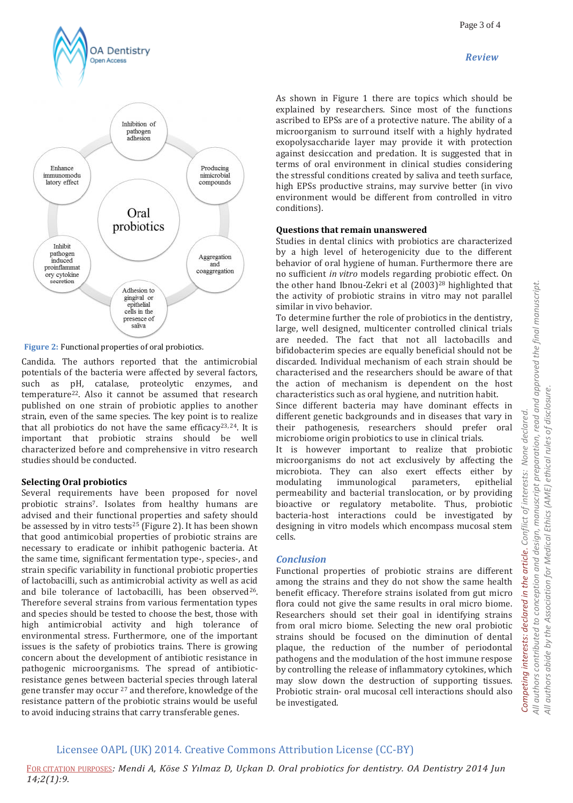

As shown in Figure 1 there are topics which should be explained by researchers. Since most of the functions ascribed to EPSs are of a protective nature. The ability of a microorganism to surround itself with a highly hydrated exopolysaccharide layer may provide it with protection against desiccation and predation. It is suggested that in terms of oral environment in clinical studies considering the stressful conditions created by saliva and teeth surface, high EPSs productive strains, may survive better (in vivo environment would be different from controlled in vitro conditions).

### **Questions that remain unanswered**

Studies in dental clinics with probiotics are characterized by a high level of heterogenicity due to the different behavior of oral hygiene of human. Furthermore there are no sufficient *in vitro* models regarding probiotic effect. On the other hand Ibnou-Zekri et al (2003)<sup>28</sup> highlighted that the activity of probiotic strains in vitro may not parallel similar in vivo behavior.

To determine further the role of probiotics in the dentistry, large, well designed, multicenter controlled clinical trials are needed. The fact that not all lactobacills and bifidobacterim species are equally beneficial should not be discarded. Individual mechanism of each strain should be characterised and the researchers should be aware of that the action of mechanism is dependent on the host characteristics such as oral hygiene, and nutrition habit.

Since different bacteria may have dominant effects in different genetic backgrounds and in diseases that vary in their pathogenesis, researchers should prefer oral microbiome origin probiotics to use in clinical trials.

It is however important to realize that probiotic microorganisms do not act exclusively by affecting the microbiota. They can also exert effects either by modulating immunological parameters, epithelial permeability and bacterial translocation, or by providing bioactive or regulatory metabolite. Thus, probiotic bacteria-host interactions could be investigated by designing in vitro models which encompass mucosal stem cells.

### *Conclusion*

Functional properties of probiotic strains are different among the strains and they do not show the same health benefit efficacy. Therefore strains isolated from gut micro flora could not give the same results in oral micro biome. Researchers should set their goal in identifying strains from oral micro biome. Selecting the new oral probiotic strains should be focused on the diminution of dental plaque, the reduction of the number of periodontal pathogens and the modulation of the host immune respose by controlling the release of inflammatory cytokines, which may slow down the destruction of supporting tissues. Probiotic strain- oral mucosal cell interactions should also be investigated.

Several requirements have been proposed for novel probiotic strains7. Isolates from healthy humans are

advised and their functional properties and safety should be assessed by in vitro tests<sup>25</sup> (Figure 2). It has been shown that good antimicobial properties of probiotic strains are necessary to eradicate or inhibit pathogenic bacteria. At the same time, significant fermentation type-, species-, and strain specific variability in functional probiotic properties of lactobacilli, such as antimicrobial activity as well as acid and bile tolerance of lactobacilli, has been observed<sup>26</sup>. Therefore several strains from various fermentation types and species should be tested to choose the best, those with high antimicrobial activity and high tolerance of environmental stress. Furthermore, one of the important issues is the safety of probiotics trains. There is growing concern about the development of antibiotic resistance in pathogenic microorganisms. The spread of antibioticresistance genes between bacterial species through lateral gene transfer may occur <sup>27</sup> and therefore, knowledge of the resistance pattern of the probiotic strains would be useful to avoid inducing strains that carry transferable genes.

### Licensee OAPL (UK) 2014. Creative Commons Attribution License (CC-BY)

FOR CITATION PURPOSES*: Mendi A, Köse S Yılmaz D, Uçkan D. Oral probiotics for dentistry. OA Dentistry 2014 Jun 14;2(1):9.*



**OA Dentistry** Open Access

**Figure 2:** Functional properties of oral probiotics.

Candida. The authors reported that the antimicrobial potentials of the bacteria were affected by several factors, such as pH, catalase, proteolytic enzymes, and temperature22. Also it cannot be assumed that research published on one strain of probiotic applies to another strain, even of the same species. The key point is to realize that all probiotics do not have the same efficacy<sup>23, 24</sup>. It is important that probiotic strains should be well characterized before and comprehensive in vitro research studies should be conducted.

### **Selecting Oral probiotics**